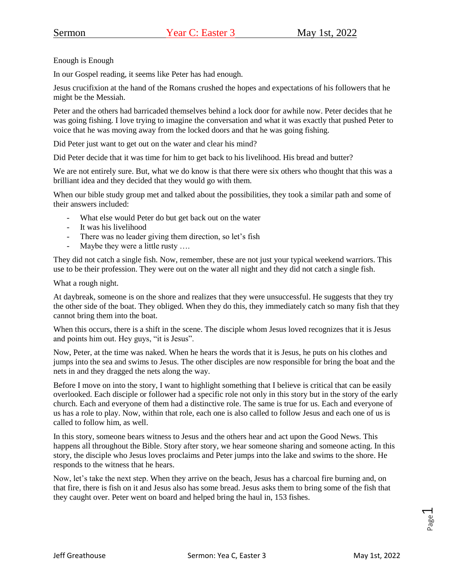Enough is Enough

In our Gospel reading, it seems like Peter has had enough.

Jesus crucifixion at the hand of the Romans crushed the hopes and expectations of his followers that he might be the Messiah.

Peter and the others had barricaded themselves behind a lock door for awhile now. Peter decides that he was going fishing. I love trying to imagine the conversation and what it was exactly that pushed Peter to voice that he was moving away from the locked doors and that he was going fishing.

Did Peter just want to get out on the water and clear his mind?

Did Peter decide that it was time for him to get back to his livelihood. His bread and butter?

We are not entirely sure. But, what we do know is that there were six others who thought that this was a brilliant idea and they decided that they would go with them.

When our bible study group met and talked about the possibilities, they took a similar path and some of their answers included:

- What else would Peter do but get back out on the water
- It was his livelihood
- There was no leader giving them direction, so let's fish
- Maybe they were a little rusty ….

They did not catch a single fish. Now, remember, these are not just your typical weekend warriors. This use to be their profession. They were out on the water all night and they did not catch a single fish.

What a rough night.

At daybreak, someone is on the shore and realizes that they were unsuccessful. He suggests that they try the other side of the boat. They obliged. When they do this, they immediately catch so many fish that they cannot bring them into the boat.

When this occurs, there is a shift in the scene. The disciple whom Jesus loved recognizes that it is Jesus and points him out. Hey guys, "it is Jesus".

Now, Peter, at the time was naked. When he hears the words that it is Jesus, he puts on his clothes and jumps into the sea and swims to Jesus. The other disciples are now responsible for bring the boat and the nets in and they dragged the nets along the way.

Before I move on into the story, I want to highlight something that I believe is critical that can be easily overlooked. Each disciple or follower had a specific role not only in this story but in the story of the early church. Each and everyone of them had a distinctive role. The same is true for us. Each and everyone of us has a role to play. Now, within that role, each one is also called to follow Jesus and each one of us is called to follow him, as well.

In this story, someone bears witness to Jesus and the others hear and act upon the Good News. This happens all throughout the Bible. Story after story, we hear someone sharing and someone acting. In this story, the disciple who Jesus loves proclaims and Peter jumps into the lake and swims to the shore. He responds to the witness that he hears.

Now, let's take the next step. When they arrive on the beach, Jesus has a charcoal fire burning and, on that fire, there is fish on it and Jesus also has some bread. Jesus asks them to bring some of the fish that they caught over. Peter went on board and helped bring the haul in, 153 fishes.